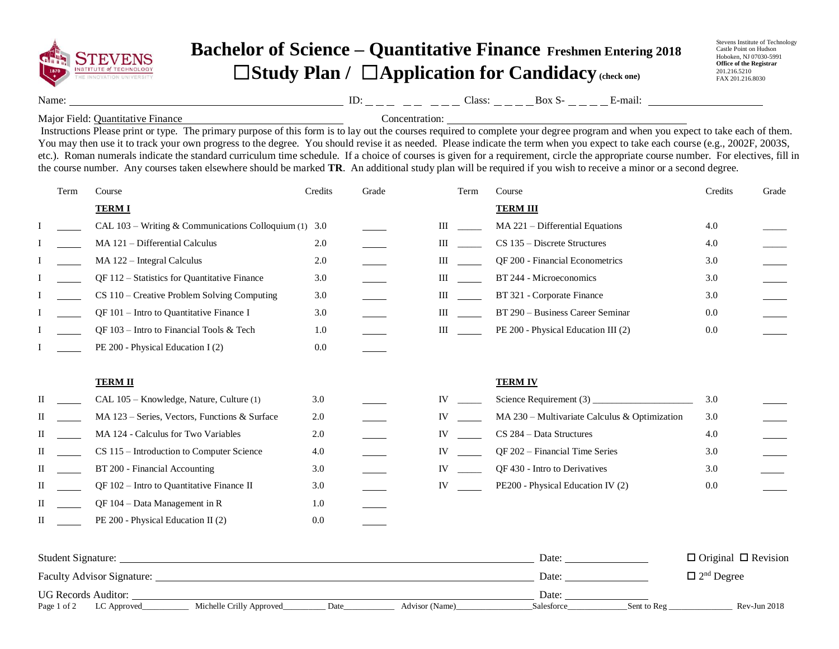

## **Bachelor of Science – Quantitative Finance Freshmen Entering 2018** ☐**Study Plan /** ☐**Application for Candidacy (check one)**

Stevens Institute of Technology Castle Point on Hudson Hoboken, NJ 07030-5991 **Office of the Registrar** 201.216.5210 FAX 201.216.8030

Name: ID: Class: Box S- E-mail:

Major Field: Quantitative Finance Concentration:

 Instructions Please print or type. The primary purpose of this form is to lay out the courses required to complete your degree program and when you expect to take each of them. You may then use it to track your own progress to the degree. You should revise it as needed. Please indicate the term when you expect to take each course (e.g., 2002F, 2003S, etc.). Roman numerals indicate the standard curriculum time schedule. If a choice of courses is given for a requirement, circle the appropriate course number. For electives, fill in the course number. Any courses taken elsewhere should be marked **TR**. An additional study plan will be required if you wish to receive a minor or a second degree.

|   | Term | Course                                                   | Credits | Grade | Term | Course                                        | Credits | Grade |
|---|------|----------------------------------------------------------|---------|-------|------|-----------------------------------------------|---------|-------|
|   |      | <b>TERMI</b>                                             |         |       |      | <b>TERM III</b>                               |         |       |
|   |      | CAL $103 - W$ riting & Communications Colloquium (1) 3.0 |         |       | Ш    | MA 221 - Differential Equations               | 4.0     |       |
|   |      | MA 121 - Differential Calculus                           | 2.0     |       | Ш    | CS 135 - Discrete Structures                  | 4.0     |       |
|   |      | MA 122 - Integral Calculus                               | 2.0     |       | Ш    | QF 200 - Financial Econometrics               | 3.0     |       |
|   |      | QF 112 - Statistics for Quantitative Finance             | 3.0     |       | Ш    | BT 244 - Microeconomics                       | 3.0     |       |
|   |      | CS 110 – Creative Problem Solving Computing              | 3.0     |       | Ш    | BT 321 - Corporate Finance                    | 3.0     |       |
|   |      | QF 101 - Intro to Quantitative Finance I                 | 3.0     |       | Ш    | BT 290 - Business Career Seminar              | 0.0     |       |
|   |      | QF 103 - Intro to Financial Tools & Tech                 | 1.0     |       | Ш    | PE 200 - Physical Education III (2)           | 0.0     |       |
|   |      | PE 200 - Physical Education I (2)                        | 0.0     |       |      |                                               |         |       |
|   |      | <b>TERM II</b>                                           |         |       |      | <b>TERM IV</b>                                |         |       |
| П |      | CAL 105 - Knowledge, Nature, Culture (1)                 | 3.0     |       | IV   | Science Requirement $(3)$ _                   | 3.0     |       |
|   |      | MA 123 – Series, Vectors, Functions & Surface            | 2.0     |       | IV   | MA 230 - Multivariate Calculus & Optimization | 3.0     |       |
| Н |      | MA 124 - Calculus for Two Variables                      | 2.0     |       | IV   | CS 284 - Data Structures                      | 4.0     |       |
|   |      | CS 115 – Introduction to Computer Science                | 4.0     |       | IV   | QF 202 - Financial Time Series                | 3.0     |       |
| П |      | BT 200 - Financial Accounting                            | 3.0     |       | IV   | QF 430 - Intro to Derivatives                 | 3.0     |       |
| П |      | QF 102 - Intro to Quantitative Finance II                | 3.0     |       | IV   | PE200 - Physical Education IV (2)             | 0.0     |       |
| П |      | $QF 104 - Data Management in R$                          | 1.0     |       |      |                                               |         |       |
| П |      | PE 200 - Physical Education II (2)                       | 0.0     |       |      |                                               |         |       |
|   |      |                                                          |         |       |      |                                               |         |       |

| <b>Student Signature:</b>         |  |                          |      |                | Date:      |             | $\Box$ Original $\Box$ Revision |  |
|-----------------------------------|--|--------------------------|------|----------------|------------|-------------|---------------------------------|--|
| <b>Faculty Advisor Signature:</b> |  |                          |      |                |            |             | $\Box$ 2 <sup>nd</sup> Degree   |  |
| <b>UG Records Auditor:</b>        |  |                          |      |                |            |             |                                 |  |
| Page 1 of 2<br>LC Approved        |  | Michelle Crilly Approved | Date | Advisor (Name) | Salesforce | Sent to Reg | $Rev-Jun 2018$                  |  |